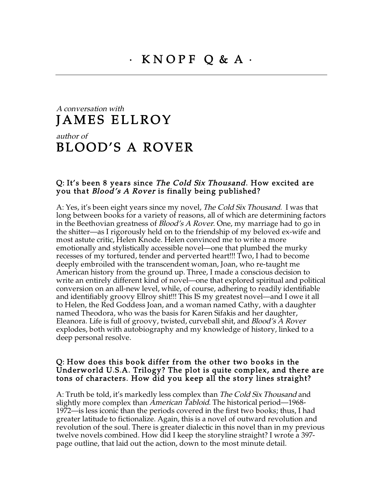# A conversation with JAMES ELLROY

# author of BLOOD'S A ROVER

#### Q: It's been 8 years since *The Cold Six Thousand*. How excited are you that Blood's A Rover is finally being published?

A: Yes, it's been eight years since my novel, The Cold Six Thousand. I was that long between books for a variety of reasons, all of which are determining factors in the Beethovian greatness of Blood's A Rover. One, my marriage had to go in the shitter—as I rigorously held on to the friendship of my beloved ex-wife and most astute critic, Helen Knode. Helen convinced me to write a more emotionally and stylistically accessible novel—one that plumbed the murky recesses of my tortured, tender and perverted heart!!! Two, I had to become deeply embroiled with the transcendent woman, Joan, who re-taught me American history from the ground up. Three, I made a conscious decision to write an entirely different kind of novel—one that explored spiritual and political conversion on an all-new level, while, of course, adhering to readily identifiable and identifiably groovy Ellroy shit!!! This IS my greatest novel—and I owe it all to Helen, the Red Goddess Joan, and a woman named Cathy, with a daughter named Theodora, who was the basis for Karen Sifakis and her daughter, Eleanora. Life is full of groovy, twisted, curveball shit, and Blood's A Rover explodes, both with autobiography and my knowledge of history, linked to a deep personal resolve.

#### Q: How does this book differ from the other two books in the Underworld U.S.A. Trilogy? The plot is quite complex, and there are tons of characters. How did you keep all the story lines straight?

A: Truth be told, it's markedly less complex than *The Cold Six Thousand* and slightly more complex than *American Tabloid*. The historical period—1968-1972—is less iconic than the periods covered in the first two books; thus, I had greater latitude to fictionalize. Again, this is a novel of outward revolution and revolution of the soul. There is greater dialectic in this novel than in my previous twelve novels combined. How did I keep the storyline straight? I wrote a 397 page outline, that laid out the action, down to the most minute detail.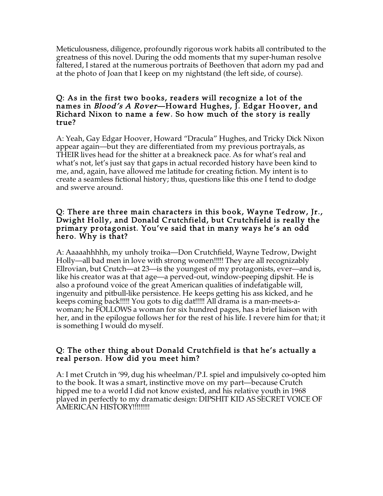Meticulousness, diligence, profoundly rigorous work habits all contributed to the greatness of this novel. During the odd moments that my super-human resolve faltered, I stared at the numerous portraits of Beethoven that adorn my pad and at the photo of Joan that I keep on my nightstand (the left side, of course).

#### Q: As in the first two books, readers will recognize a lot of the names in *Blood's A Rover*—Howard Hughes, J. Edgar Hoover, and Richard Nixon to name a few. So how much of the story is really true?

A: Yeah, Gay Edgar Hoover, Howard "Dracula" Hughes, and Tricky Dick Nixon appear again—but they are differentiated from my previous portrayals, as THEIR lives head for the shitter at a breakneck pace. As for what's real and what's not, let's just say that gaps in actual recorded history have been kind to me, and, again, have allowed me latitude for creating fiction. My intent is to create a seamless fictional history; thus, questions like this one I tend to dodge and swerve around.

#### Q: There are three main characters in this book, Wayne Tedrow, Jr., Dwight Holly, and Donald Crutchfield, but Crutchfield is really the primary protagonist. You've said that in many ways he's an odd hero. Why is that?

A: Aaaaahhhhh, my unholy troika—Don Crutchfield, Wayne Tedrow, Dwight Holly—all bad men in love with strong women!!!!! They are all recognizably Ellrovian, but Crutch—at 23—is the youngest of my protagonists, ever—and is, like his creator was at that age—a perved-out, window-peeping dipshit. He is also a profound voice of the great American qualities of indefatigable will, ingenuity and pitbull-like persistence. He keeps getting his ass kicked, and he keeps coming back!!!!! You gots to dig dat!!!!! All drama is a man-meets-awoman; he FOLLOWS a woman for six hundred pages, has a brief liaison with her, and in the epilogue follows her for the rest of his life. I revere him for that; it is something I would do myself.

## Q: The other thing about Donald Crutchfield is that he's actually a real person. How did you meet him?

A: I met Crutch in '99, dug his wheelman/P.I. spiel and impulsively co-opted him to the book. It was a smart, instinctive move on my part—because Crutch hipped me to a world I did not know existed, and his relative youth in 1968 played in perfectly to my dramatic design: DIPSHIT KID AS SECRET VOICE OF AMERICAN HISTORY!!!!!!!!!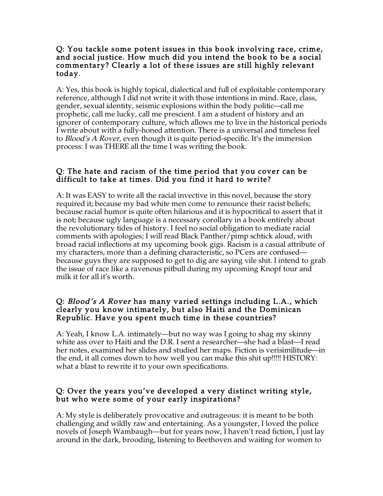#### Q: You tackle some potent issues in this book involving race, crime, and social justice. How much did you intend the book to be a social commentary? Clearly a lot of these issues are still highly relevant today.

A: Yes, this book is highly topical, dialectical and full of exploitable contemporary reference, although I did not write it with those intentions in mind. Race, class, gender, sexual identity, seismic explosions within the body politic—call me prophetic, call me lucky, call me prescient. I am a student of history and an ignorer of contemporary culture, which allows me to live in the historical periods I write about with a fully-honed attention. There is a universal and timeless feel to *Blood's A Rover*, even though it is quite period-specific. It's the immersion process: I was THERE all the time I was writing the book.

## Q: The hate and racism of the time period that you cover can be difficult to take at times. Did you find it hard to write?

A: It was EASY to write all the racial invective in this novel, because the story required it; because my bad white men come to renounce their racist beliefs; because racial humor is quite often hilarious and it is hypocritical to assert that it is not; because ugly language is a necessary corollary in a book entirely about the revolutionary tides of history. I feel no social obligation to mediate racial comments with apologies; I will read Black Panther/pimp schtick aloud, with broad racial inflections at my upcoming book gigs. Racism is a casual attribute of my characters, more than a defining characteristic, so PCers are confused because guys they are supposed to get to dig are saying vile shit. I intend to grab the issue of race like a ravenous pitbull during my upcoming Knopf tour and milk it for all it's worth.

#### Q: Blood's A Rover has many varied settings including L.A., which clearly you know intimately, but also Haiti and the Dominican Republic. Have you spent much time in these countries?

A: Yeah, I know L.A. intimately—but no way was I going to shag my skinny white ass over to Haiti and the D.R. I sent a researcher—she had a blast—I read her notes, examined her slides and studied her maps. Fiction is verisimilitude—in the end, it all comes down to how well you can make this shit up!!!!! HISTORY: what a blast to rewrite it to your own specifications.

## Q: Over the years you've developed a very distinct writing style, but who were some of your early inspirations?

A: My style is deliberately provocative and outrageous: it is meant to be both challenging and wildly raw and entertaining. As a youngster, I loved the police novels of Joseph Wambaugh—but for years now, I haven't read fiction, I just lay around in the dark, brooding, listening to Beethoven and waiting for women to